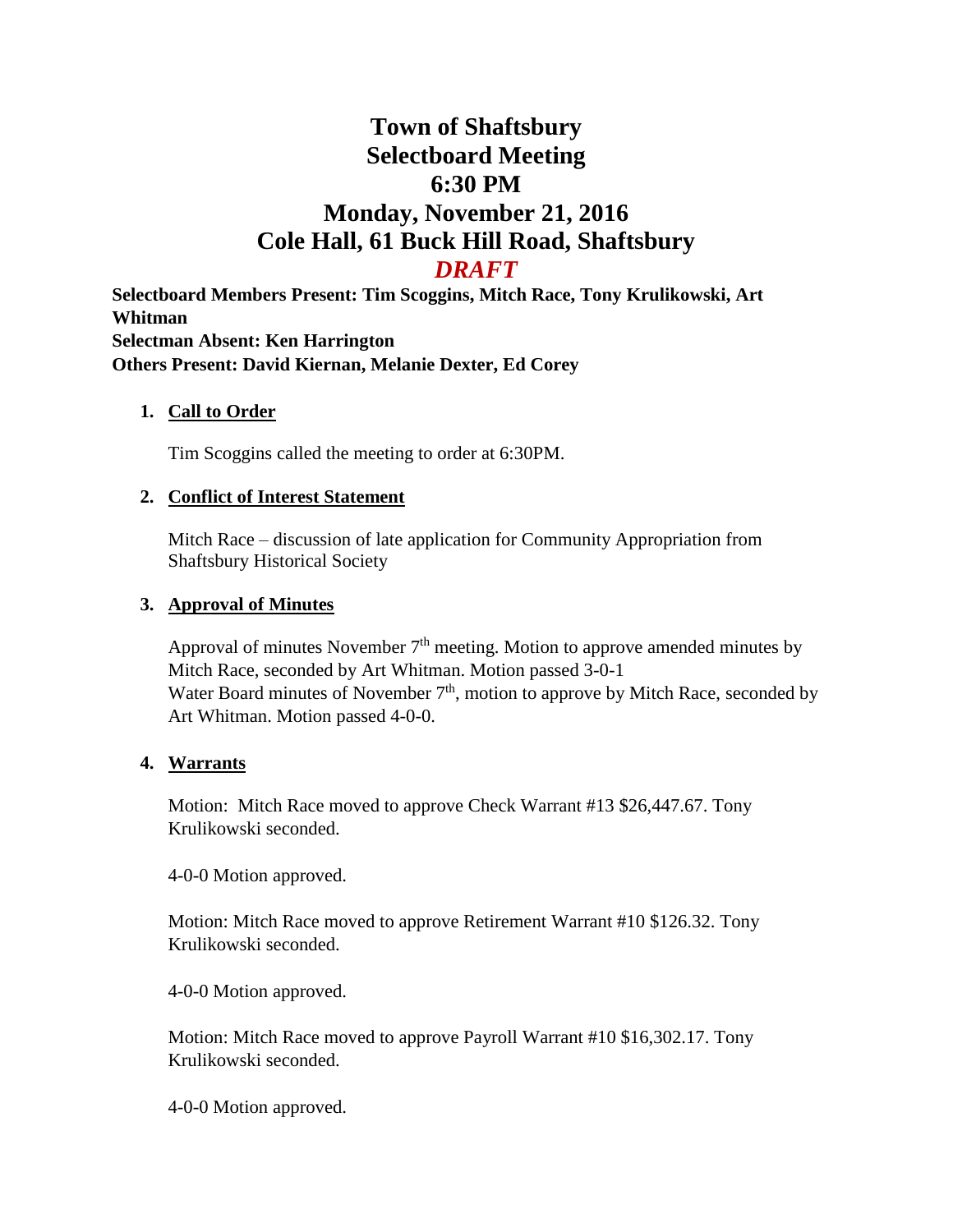# **Town of Shaftsbury Selectboard Meeting 6:30 PM Monday, November 21, 2016 Cole Hall, 61 Buck Hill Road, Shaftsbury** *DRAFT*

**Selectboard Members Present: Tim Scoggins, Mitch Race, Tony Krulikowski, Art Whitman Selectman Absent: Ken Harrington Others Present: David Kiernan, Melanie Dexter, Ed Corey**

#### **1. Call to Order**

Tim Scoggins called the meeting to order at 6:30PM.

## **2. Conflict of Interest Statement**

Mitch Race – discussion of late application for Community Appropriation from Shaftsbury Historical Society

## **3. Approval of Minutes**

Approval of minutes November  $7<sup>th</sup>$  meeting. Motion to approve amended minutes by Mitch Race, seconded by Art Whitman. Motion passed 3-0-1 Water Board minutes of November  $7<sup>th</sup>$ , motion to approve by Mitch Race, seconded by Art Whitman. Motion passed 4-0-0.

#### **4. Warrants**

Motion: Mitch Race moved to approve Check Warrant #13 \$26,447.67. Tony Krulikowski seconded.

4-0-0 Motion approved.

Motion: Mitch Race moved to approve Retirement Warrant #10 \$126.32. Tony Krulikowski seconded.

4-0-0 Motion approved.

Motion: Mitch Race moved to approve Payroll Warrant #10 \$16,302.17. Tony Krulikowski seconded.

4-0-0 Motion approved.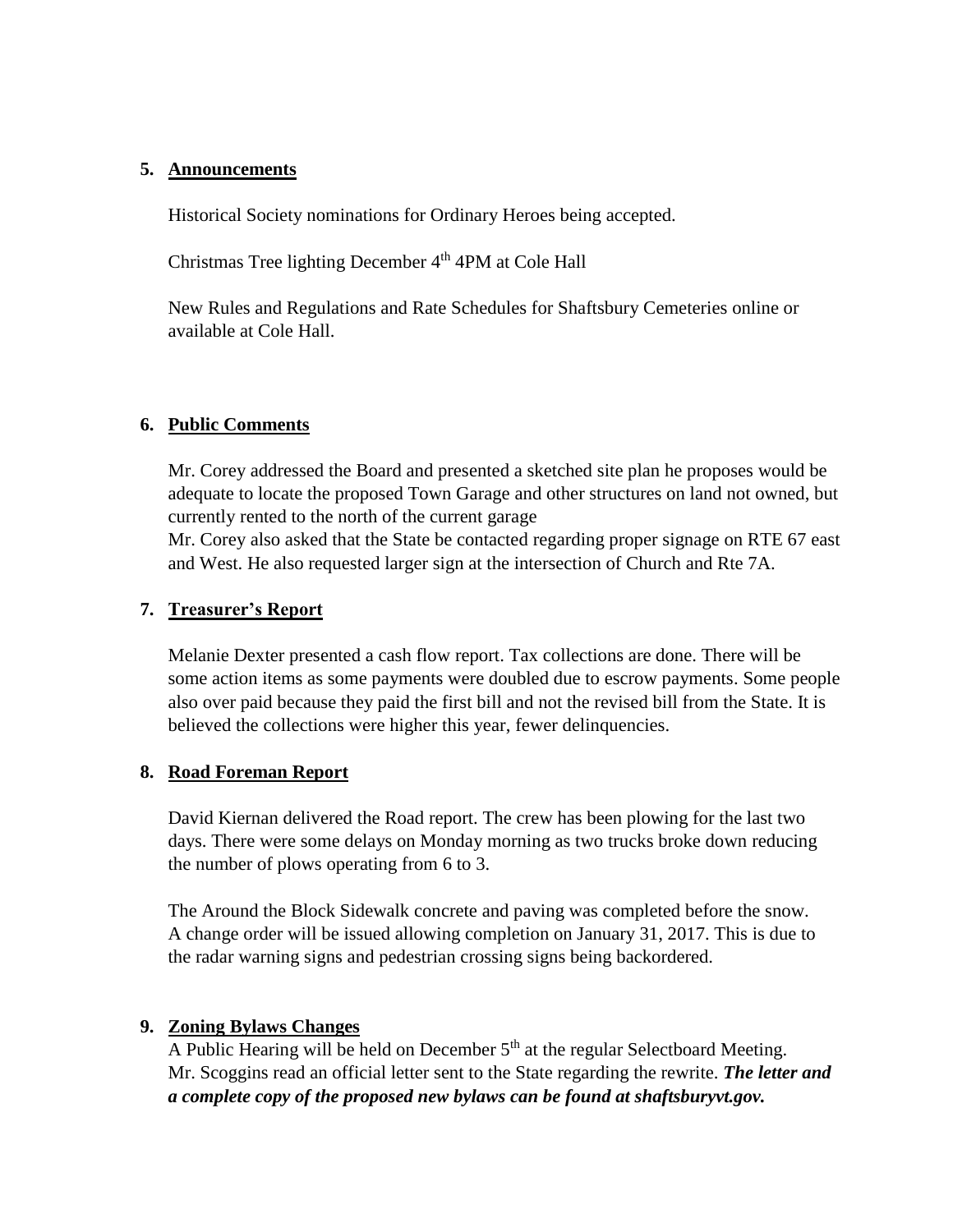#### **5. Announcements**

Historical Society nominations for Ordinary Heroes being accepted.

Christmas Tree lighting December 4<sup>th</sup> 4PM at Cole Hall

New Rules and Regulations and Rate Schedules for Shaftsbury Cemeteries online or available at Cole Hall.

## **6. Public Comments**

Mr. Corey addressed the Board and presented a sketched site plan he proposes would be adequate to locate the proposed Town Garage and other structures on land not owned, but currently rented to the north of the current garage

Mr. Corey also asked that the State be contacted regarding proper signage on RTE 67 east and West. He also requested larger sign at the intersection of Church and Rte 7A.

## **7. Treasurer's Report**

Melanie Dexter presented a cash flow report. Tax collections are done. There will be some action items as some payments were doubled due to escrow payments. Some people also over paid because they paid the first bill and not the revised bill from the State. It is believed the collections were higher this year, fewer delinquencies.

#### **8. Road Foreman Report**

David Kiernan delivered the Road report. The crew has been plowing for the last two days. There were some delays on Monday morning as two trucks broke down reducing the number of plows operating from 6 to 3.

The Around the Block Sidewalk concrete and paving was completed before the snow. A change order will be issued allowing completion on January 31, 2017. This is due to the radar warning signs and pedestrian crossing signs being backordered.

#### **9. Zoning Bylaws Changes**

A Public Hearing will be held on December  $5<sup>th</sup>$  at the regular Selectboard Meeting. Mr. Scoggins read an official letter sent to the State regarding the rewrite. *The letter and a complete copy of the proposed new bylaws can be found at shaftsburyvt.gov.*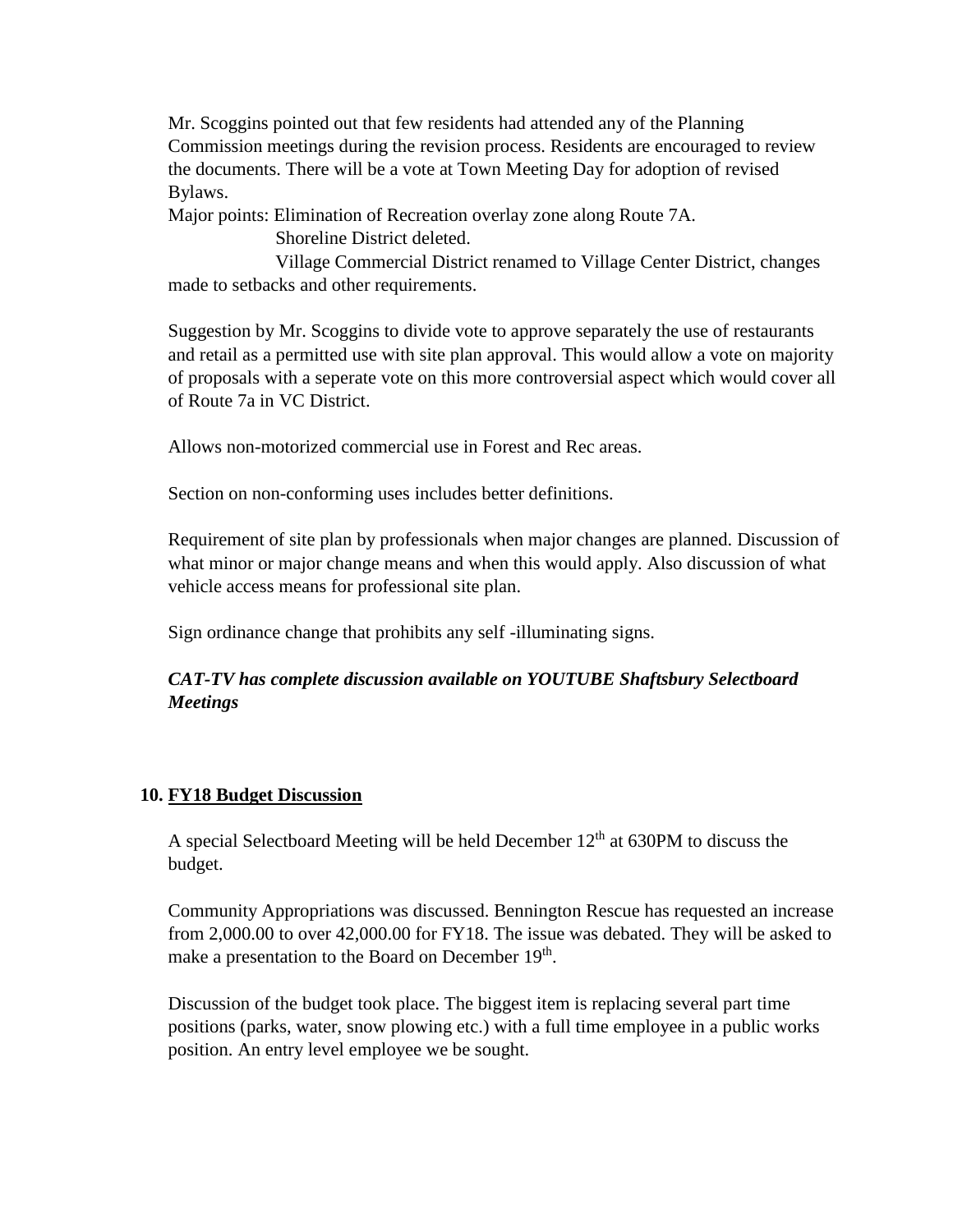Mr. Scoggins pointed out that few residents had attended any of the Planning Commission meetings during the revision process. Residents are encouraged to review the documents. There will be a vote at Town Meeting Day for adoption of revised Bylaws.

Major points: Elimination of Recreation overlay zone along Route 7A.

Shoreline District deleted.

 Village Commercial District renamed to Village Center District, changes made to setbacks and other requirements.

Suggestion by Mr. Scoggins to divide vote to approve separately the use of restaurants and retail as a permitted use with site plan approval. This would allow a vote on majority of proposals with a seperate vote on this more controversial aspect which would cover all of Route 7a in VC District.

Allows non-motorized commercial use in Forest and Rec areas.

Section on non-conforming uses includes better definitions.

Requirement of site plan by professionals when major changes are planned. Discussion of what minor or major change means and when this would apply. Also discussion of what vehicle access means for professional site plan.

Sign ordinance change that prohibits any self -illuminating signs.

# *CAT-TV has complete discussion available on YOUTUBE Shaftsbury Selectboard Meetings*

# **10. FY18 Budget Discussion**

A special Selectboard Meeting will be held December  $12<sup>th</sup>$  at 630PM to discuss the budget.

Community Appropriations was discussed. Bennington Rescue has requested an increase from 2,000.00 to over 42,000.00 for FY18. The issue was debated. They will be asked to make a presentation to the Board on December 19<sup>th</sup>.

Discussion of the budget took place. The biggest item is replacing several part time positions (parks, water, snow plowing etc.) with a full time employee in a public works position. An entry level employee we be sought.